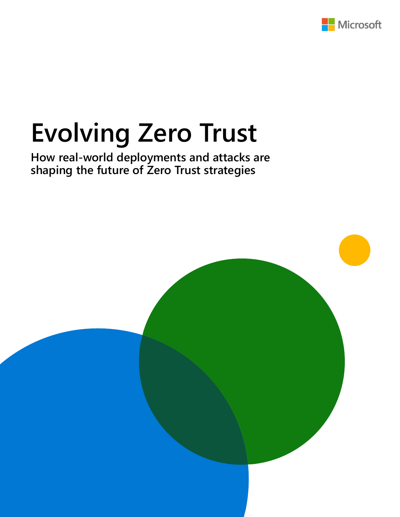

# **Evolving Zero Trust**

**How real-world deployments and attacks are shaping the future of Zero Trust strategies**

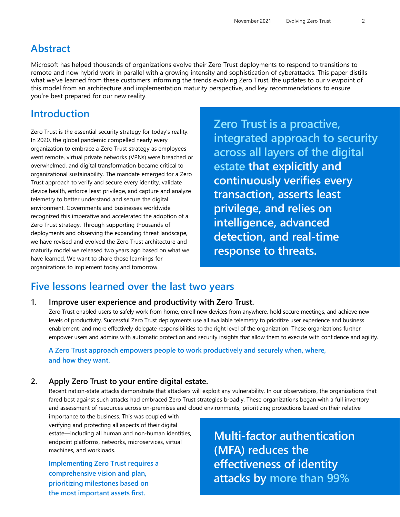### **Abstract**

Microsoft has helped thousands of organizations evolve their Zero Trust deployments to respond to transitions to remote and now hybrid work in parallel with a growing intensity and sophistication of cyberattacks. This paper distills what we've learned from these customers informing the trends evolving Zero Trust, the updates to our viewpoint of this model from an architecture and implementation maturity perspective, and key recommendations to ensure you're best prepared for our new reality.

### **Introduction**

Zero Trust is the essential security strategy for today's reality. In 2020, the global pandemic compelled nearly every organization to embrace a Zero Trust strategy as employees went remote, virtual private networks (VPNs) were breached or overwhelmed, and digital transformation became critical to organizational sustainability. The mandate emerged for a Zero Trust approach to verify and secure every identity, validate device health, enforce least privilege, and capture and analyze telemetry to better understand and secure the digital environment. Governments and businesses worldwide recognized this imperative and accelerated the adoption of a Zero Trust strategy. Through supporting thousands of deployments and observing the expanding threat landscape, we have revised and evolved the Zero Trust architecture and maturity model we released two years ago based on what we have learned. We want to share those learnings for organizations to implement today and tomorrow.

**Zero Trust is a proactive, integrated approach to security across all layers of the digital estate that explicitly and continuously verifies every transaction, asserts least privilege, and relies on intelligence, advanced detection, and real-time response to threats.**

### **Five lessons learned over the last two years**

#### **1. Improve user experience and productivity with Zero Trust.**

Zero Trust enabled users to safely work from home, enroll new devices from anywhere, hold secure meetings, and achieve new levels of productivity. Successful Zero Trust deployments use all available telemetry to prioritize user experience and business enablement, and more effectively delegate responsibilities to the right level of the organization. These organizations further empower users and admins with automatic protection and security insights that allow them to execute with confidence and agility.

### **A Zero Trust approach empowers people to work productively and securely when, where, and how they want.**

### **2. Apply Zero Trust to your entire digital estate.**

Recent nation-state attacks demonstrate that attackers will exploit any vulnerability. In our observations, the organizations that fared best against such attacks had embraced Zero Trust strategies broadly. These organizations began with a full inventory and assessment of resources across on-premises and cloud environments, prioritizing protections based on their relative

importance to the business. This was coupled with verifying and protecting all aspects of their digital estate—including all human and non-human identities, endpoint platforms, networks, microservices, virtual machines, and workloads.

**Implementing Zero Trust requires a comprehensive vision and plan, prioritizing milestones based on the most important assets first.**

**Multi-factor authentication (MFA) reduces the effectiveness of identity attacks by more than 99%**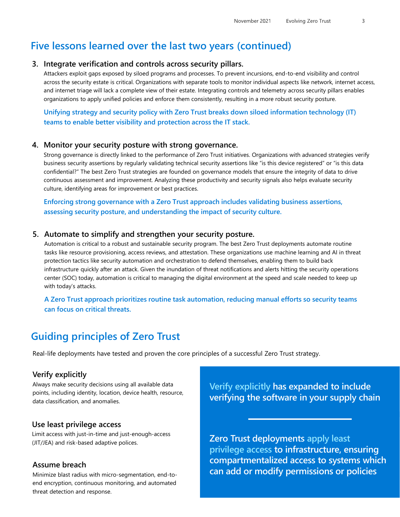### **Five lessons learned over the last two years (continued)**

#### **3. Integrate verification and controls across security pillars.**

Attackers exploit gaps exposed by siloed programs and processes. To prevent incursions, end-to-end visibility and control across the security estate is critical. Organizations with separate tools to monitor individual aspects like network, internet access, and internet triage will lack a complete view of their estate. Integrating controls and telemetry across security pillars enables organizations to apply unified policies and enforce them consistently, resulting in a more robust security posture.

**Unifying strategy and security policy with Zero Trust breaks down siloed information technology (IT) teams to enable better visibility and protection across the IT stack.**

#### **4. Monitor your security posture with strong governance.**

Strong governance is directly linked to the performance of Zero Trust initiatives. Organizations with advanced strategies verify business security assertions by regularly validating technical security assertions like "is this device registered" or "is this data confidential?" The best Zero Trust strategies are founded on governance models that ensure the integrity of data to drive continuous assessment and improvement. Analyzing these productivity and security signals also helps evaluate security culture, identifying areas for improvement or best practices.

**Enforcing strong governance with a Zero Trust approach includes validating business assertions, assessing security posture, and understanding the impact of security culture.**

#### **5. Automate to simplify and strengthen your security posture.**

Automation is critical to a robust and sustainable security program. The best Zero Trust deployments automate routine tasks like resource provisioning, access reviews, and attestation. These organizations use machine learning and AI in threat protection tactics like security automation and orchestration to defend themselves, enabling them to build back infrastructure quickly after an attack. Given the inundation of threat notifications and alerts hitting the security operations center (SOC) today, automation is critical to managing the digital environment at the speed and scale needed to keep up with today's attacks.

### **A Zero Trust approach prioritizes routine task automation, reducing manual efforts so security teams can focus on critical threats.**

### **Guiding principles of Zero Trust**

Real-life deployments have tested and proven the core principles of a successful Zero Trust strategy.

#### **Verify explicitly**

Always make security decisions using all available data points, including identity, location, device health, resource, data classification, and anomalies.

#### **Use least privilege access**

Limit access with just-in-time and just-enough-access Limit access with just-in-time and just-enough-access **Limit Zero Trust deployments apply least** and risk-based adaptive polices.

#### **Assume breach**

Minimize blast radius with micro-segmentation, end-toend encryption, continuous monitoring, and automated threat detection and response.

**Verify explicitly has expanded to include verifying the software in your supply chain**

**privilege access to infrastructure, ensuring compartmentalized access to systems which can add or modify permissions or policies**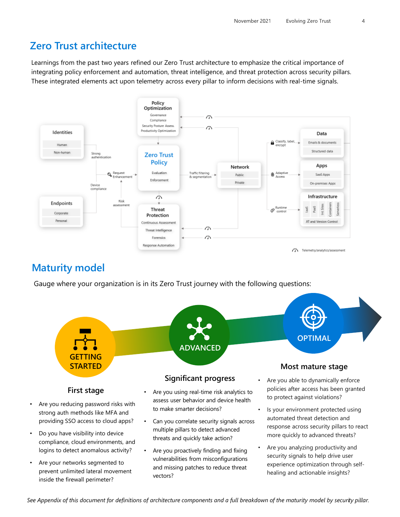### **Zero Trust architecture**

Learnings from the past two years refined our Zero Trust architecture to emphasize the critical importance of integrating policy enforcement and automation, threat intelligence, and threat protection across security pillars. These integrated elements act upon telemetry across every pillar to inform decisions with real-time signals.



### **Maturity model**

Gauge where your organization is in its Zero Trust journey with the following questions:



- Do you have visibility into device compliance, cloud environments, and logins to detect anomalous activity?
- Are your networks segmented to prevent unlimited lateral movement inside the firewall perimeter?
- Can you correlate security signals across multiple pillars to detect advanced threats and quickly take action?
- Are you proactively finding and fixing vulnerabilities from misconfigurations and missing patches to reduce threat vectors?
- response across security pillars to react more quickly to advanced threats?
- Are you analyzing productivity and security signals to help drive user experience optimization through selfhealing and actionable insights?

*See Appendix of this document for definitions of architecture components and a full breakdown of the maturity model by security pillar.*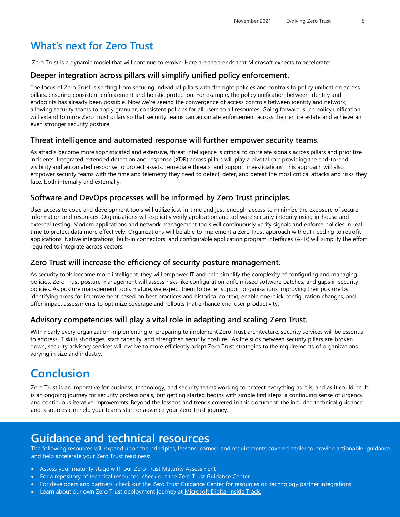### **What's next for Zero Trust**

Zero Trust is a dynamic model that will continue to evolve. Here are the trends that Microsoft expects to accelerate:

#### **Deeper integration across pillars will simplify unified policy enforcement.**

The focus of Zero Trust is shifting from securing individual pillars with the right policies and controls to policy unification across pillars, ensuring consistent enforcement and holistic protection. For example, the policy unification between identity and endpoints has already been possible. Now we're seeing the convergence of access controls between identity and network, allowing security teams to apply granular, consistent policies for all users to all resources. Going forward, such policy unification will extend to more Zero Trust pillars so that security teams can automate enforcement across their entire estate and achieve an even stronger security posture.

#### **Threat intelligence and automated response will further empower security teams.**

As attacks become more sophisticated and extensive, threat intelligence is critical to correlate signals across pillars and prioritize incidents. Integrated extended detection and response (XDR) across pillars will play a pivotal role providing the end-to-end visibility and automated response to protect assets, remediate threats, and support investigations. This approach will also empower security teams with the time and telemetry they need to detect, deter, and defeat the most critical attacks and risks they face, both internally and externally.

### **Software and DevOps processes will be informed by Zero Trust principles.**

User access to code and development tools will utilize just-in-time and just-enough-access to minimize the exposure of secure information and resources. Organizations will explicitly verify application and software security integrity using in-house and external testing. Modern applications and network management tools will continuously verify signals and enforce policies in real time to protect data more effectively. Organizations will be able to implement a Zero Trust approach without needing to retrofit applications. Native integrations, built-in connectors, and configurable application program interfaces (APIs) will simplify the effort required to integrate across vectors.

#### **Zero Trust will increase the efficiency of security posture management.**

As security tools become more intelligent, they will empower IT and help simplify the complexity of configuring and managing policies. Zero Trust posture management will assess risks like configuration drift, missed software patches, and gaps in security policies. As posture management tools mature, we expect them to better support organizations improving their posture by identifying areas for improvement based on best practices and historical context, enable one-click configuration changes, and offer impact assessments to optimize coverage and rollouts that enhance end-user productivity.

#### **Advisory competencies will play a vital role in adapting and scaling Zero Trust.**

With nearly every organization implementing or preparing to implement Zero Trust architecture, security services will be essential to address IT skills shortages, staff capacity, and strengthen security posture. As the silos between security pillars are broken down, security advisory services will evolve to more efficiently adapt Zero Trust strategies to the requirements of organizations varying in size and industry.

### **Conclusion**

Zero Trust is an imperative for business, technology, and security teams working to protect everything as it is, and as it could be. It is an ongoing journey for security professionals, but getting started begins with simple first steps, a continuing sense of urgency, and continuous iterative improvements. Beyond the lessons and trends covered in this document, the included technical guidance and resources can help your teams start or advance your Zero Trust journey.

### **Guidance and technical resources**

The following resources will expand upon the principles, lessons learned, and requirements covered earlier to provide actionable guidance and help accelerate your Zero Trust readiness:

- Assess your maturity stage with our **[Zero Trust Maturity Assessment](https://www.microsoft.com/en-us/security/business/zero-trust/maturity-model-assessment-tool?activetab=solution-wizard%3aprimaryr1)**
- For a repository of technical resources, check out the [Zero Trust Guidance Center](https://docs.microsoft.com/en-us/security/zero-trust/).
- For developers and partners, check out the [Zero Trust Guidance Center for resources on technology partner integrations](https://docs.microsoft.com/en-us/security/zero-trust/integrate/overview).
- Learn about our own Zero Trust deployment journey at [Microsoft Digital Inside Track.](https://www.microsoft.com/en-us/itshowcase/transitioning-to-modern-access-architecture-with-zero-trust)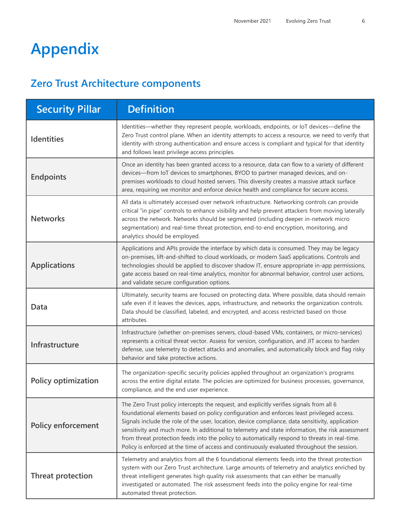# **Appendix**

### **Zero Trust Architecture components**

| <b>Security Pillar</b>     | <b>Definition</b>                                                                                                                                                                                                                                                                                                                                                                                                                                                                                                                                                                              |  |
|----------------------------|------------------------------------------------------------------------------------------------------------------------------------------------------------------------------------------------------------------------------------------------------------------------------------------------------------------------------------------------------------------------------------------------------------------------------------------------------------------------------------------------------------------------------------------------------------------------------------------------|--|
| <b>Identities</b>          | Identities—whether they represent people, workloads, endpoints, or IoT devices—define the<br>Zero Trust control plane. When an identity attempts to access a resource, we need to verify that<br>identity with strong authentication and ensure access is compliant and typical for that identity<br>and follows least privilege access principles.                                                                                                                                                                                                                                            |  |
| <b>Endpoints</b>           | Once an identity has been granted access to a resource, data can flow to a variety of different<br>devices-from IoT devices to smartphones, BYOD to partner managed devices, and on-<br>premises workloads to cloud hosted servers. This diversity creates a massive attack surface<br>area, requiring we monitor and enforce device health and compliance for secure access.                                                                                                                                                                                                                  |  |
| <b>Networks</b>            | All data is ultimately accessed over network infrastructure. Networking controls can provide<br>critical "in pipe" controls to enhance visibility and help prevent attackers from moving laterally<br>across the network. Networks should be segmented (including deeper in-network micro<br>segmentation) and real-time threat protection, end-to-end encryption, monitoring, and<br>analytics should be employed.                                                                                                                                                                            |  |
| <b>Applications</b>        | Applications and APIs provide the interface by which data is consumed. They may be legacy<br>on-premises, lift-and-shifted to cloud workloads, or modern SaaS applications. Controls and<br>technologies should be applied to discover shadow IT, ensure appropriate in-app permissions,<br>gate access based on real-time analytics, monitor for abnormal behavior, control user actions,<br>and validate secure configuration options.                                                                                                                                                       |  |
| Data                       | Ultimately, security teams are focused on protecting data. Where possible, data should remain<br>safe even if it leaves the devices, apps, infrastructure, and networks the organization controls.<br>Data should be classified, labeled, and encrypted, and access restricted based on those<br>attributes.                                                                                                                                                                                                                                                                                   |  |
| Infrastructure             | Infrastructure (whether on-premises servers, cloud-based VMs, containers, or micro-services)<br>represents a critical threat vector. Assess for version, configuration, and JIT access to harden<br>defense, use telemetry to detect attacks and anomalies, and automatically block and flag risky<br>behavior and take protective actions.                                                                                                                                                                                                                                                    |  |
| <b>Policy optimization</b> | The organization-specific security policies applied throughout an organization's programs<br>across the entire digital estate. The policies are optimized for business processes, governance,<br>compliance, and the end user experience.                                                                                                                                                                                                                                                                                                                                                      |  |
| <b>Policy enforcement</b>  | The Zero Trust policy intercepts the request, and explicitly verifies signals from all 6<br>foundational elements based on policy configuration and enforces least privileged access.<br>Signals include the role of the user, location, device compliance, data sensitivity, application<br>sensitivity and much more. In additional to telemetry and state information, the risk assessment<br>from threat protection feeds into the policy to automatically respond to threats in real-time.<br>Policy is enforced at the time of access and continuously evaluated throughout the session. |  |
| <b>Threat protection</b>   | Telemetry and analytics from all the 6 foundational elements feeds into the threat protection<br>system with our Zero Trust architecture. Large amounts of telemetry and analytics enriched by<br>threat intelligent generates high quality risk assessments that can either be manually<br>investigated or automated. The risk assessment feeds into the policy engine for real-time<br>automated threat protection.                                                                                                                                                                          |  |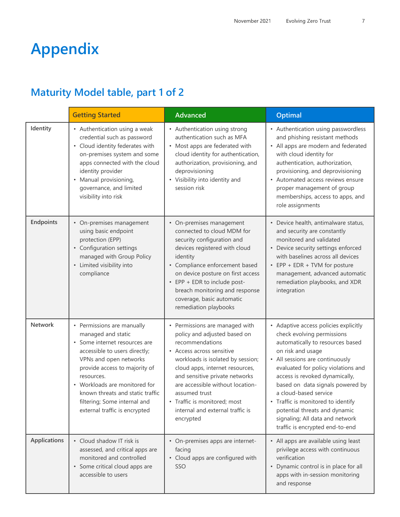# **Appendix**

## **Maturity Model table, part 1 of 2**

|                     | <b>Getting Started</b>                                                                                                                                                                                                                                                                                                            | <b>Advanced</b>                                                                                                                                                                                                                                                                                                                                                | <b>Optimal</b>                                                                                                                                                                                                                                                                                                                                                                                                                                     |
|---------------------|-----------------------------------------------------------------------------------------------------------------------------------------------------------------------------------------------------------------------------------------------------------------------------------------------------------------------------------|----------------------------------------------------------------------------------------------------------------------------------------------------------------------------------------------------------------------------------------------------------------------------------------------------------------------------------------------------------------|----------------------------------------------------------------------------------------------------------------------------------------------------------------------------------------------------------------------------------------------------------------------------------------------------------------------------------------------------------------------------------------------------------------------------------------------------|
| Identity            | • Authentication using a weak<br>credential such as password<br>• Cloud identity federates with<br>on-premises system and some<br>apps connected with the cloud<br>identity provider<br>• Manual provisioning,<br>governance, and limited<br>visibility into risk                                                                 | • Authentication using strong<br>authentication such as MFA<br>• Most apps are federated with<br>cloud identity for authentication,<br>authorization, provisioning, and<br>deprovisioning<br>• Visibility into identity and<br>session risk                                                                                                                    | • Authentication using passwordless<br>and phishing resistant methods<br>• All apps are modern and federated<br>with cloud identity for<br>authentication, authorization,<br>provisioning, and deprovisioning<br>• Automated access reviews ensure<br>proper management of group<br>memberships, access to apps, and<br>role assignments                                                                                                           |
| Endpoints           | • On-premises management<br>using basic endpoint<br>protection (EPP)<br>• Configuration settings<br>managed with Group Policy<br>• Limited visibility into<br>compliance                                                                                                                                                          | • On-premises management<br>connected to cloud MDM for<br>security configuration and<br>devices registered with cloud<br>identity<br>• Compliance enforcement based<br>on device posture on first access<br>• EPP + EDR to include post-<br>breach monitoring and response<br>coverage, basic automatic<br>remediation playbooks                               | • Device health, antimalware status,<br>and security are constantly<br>monitored and validated<br>• Device security settings enforced<br>with baselines across all devices<br>• EPP + EDR + TVM for posture<br>management, advanced automatic<br>remediation playbooks, and XDR<br>integration                                                                                                                                                     |
| Network             | • Permissions are manually<br>managed and static<br>• Some internet resources are<br>accessible to users directly;<br>VPNs and open networks<br>provide access to majority of<br>resources.<br>• Workloads are monitored for<br>known threats and static traffic<br>filtering; Some internal and<br>external traffic is encrypted | • Permissions are managed with<br>policy and adjusted based on<br>recommendations<br>• Access across sensitive<br>workloads is isolated by session;<br>cloud apps, internet resources,<br>and sensitive private networks<br>are accessible without location-<br>assumed trust<br>• Traffic is monitored; most<br>internal and external traffic is<br>encrypted | • Adaptive access policies explicitly<br>check evolving permissions<br>automatically to resources based<br>on risk and usage<br>• All sessions are continuously<br>evaluated for policy violations and<br>access is revoked dynamically,<br>based on data signals powered by<br>a cloud-based service<br>• Traffic is monitored to identify<br>potential threats and dynamic<br>signaling; All data and network<br>traffic is encrypted end-to-end |
| <b>Applications</b> | • Cloud shadow IT risk is<br>assessed, and critical apps are<br>monitored and controlled<br>• Some critical cloud apps are<br>accessible to users                                                                                                                                                                                 | • On-premises apps are internet-<br>facing<br>• Cloud apps are configured with<br>SSO                                                                                                                                                                                                                                                                          | • All apps are available using least<br>privilege access with continuous<br>verification<br>• Dynamic control is in place for all<br>apps with in-session monitoring<br>and response                                                                                                                                                                                                                                                               |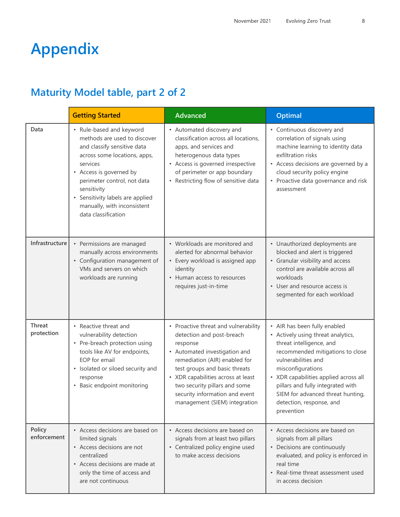# **Appendix**

### **Maturity Model table, part 2 of 2**

|                       | <b>Getting Started</b>                                                                                                                                                                                                                                                                                 | <b>Advanced</b>                                                                                                                                                                                                                                                                                                            | <b>Optimal</b>                                                                                                                                                                                                                                                                                                                              |
|-----------------------|--------------------------------------------------------------------------------------------------------------------------------------------------------------------------------------------------------------------------------------------------------------------------------------------------------|----------------------------------------------------------------------------------------------------------------------------------------------------------------------------------------------------------------------------------------------------------------------------------------------------------------------------|---------------------------------------------------------------------------------------------------------------------------------------------------------------------------------------------------------------------------------------------------------------------------------------------------------------------------------------------|
| Data                  | • Rule-based and keyword<br>methods are used to discover<br>and classify sensitive data<br>across some locations, apps,<br>services<br>• Access is governed by<br>perimeter control, not data<br>sensitivity<br>• Sensitivity labels are applied<br>manually, with inconsistent<br>data classification | • Automated discovery and<br>classification across all locations,<br>apps, and services and<br>heterogenous data types<br>• Access is governed irrespective<br>of perimeter or app boundary<br>• Restricting flow of sensitive data                                                                                        | • Continuous discovery and<br>correlation of signals using<br>machine learning to identity data<br>exfiltration risks<br>• Access decisions are governed by a<br>cloud security policy engine<br>• Proactive data governance and risk<br>assessment                                                                                         |
| Infrastructure        | • Permissions are managed<br>manually across environments<br>• Configuration management of<br>VMs and servers on which<br>workloads are running                                                                                                                                                        | • Workloads are monitored and<br>alerted for abnormal behavior<br>• Every workload is assigned app<br>identity<br>• Human access to resources<br>requires just-in-time                                                                                                                                                     | • Unauthorized deployments are<br>blocked and alert is triggered<br>• Granular visibility and access<br>control are available across all<br>workloads<br>• User and resource access is<br>segmented for each workload                                                                                                                       |
| Threat<br>protection  | • Reactive threat and<br>vulnerability detection<br>• Pre-breach protection using<br>tools like AV for endpoints,<br>EOP for email<br>• Isolated or siloed security and<br>response<br>• Basic endpoint monitoring                                                                                     | • Proactive threat and vulnerability<br>detection and post-breach<br>response<br>• Automated investigation and<br>remediation (AIR) enabled for<br>test groups and basic threats<br>• XDR capabilities across at least<br>two security pillars and some<br>security information and event<br>management (SIEM) integration | • AIR has been fully enabled<br>• Actively using threat analytics,<br>threat intelligence, and<br>recommended mitigations to close<br>vulnerabilities and<br>misconfigurations<br>• XDR capabilities applied across all<br>pillars and fully integrated with<br>SIEM for advanced threat hunting,<br>detection, response, and<br>prevention |
| Policy<br>enforcement | • Access decisions are based on<br>limited signals<br>• Access decisions are not<br>centralized<br>• Access decisions are made at<br>only the time of access and<br>are not continuous                                                                                                                 | • Access decisions are based on<br>signals from at least two pillars<br>• Centralized policy engine used<br>to make access decisions                                                                                                                                                                                       | • Access decisions are based on<br>signals from all pillars<br>• Decisions are continuously<br>evaluated, and policy is enforced in<br>real time<br>• Real-time threat assessment used<br>in access decision                                                                                                                                |